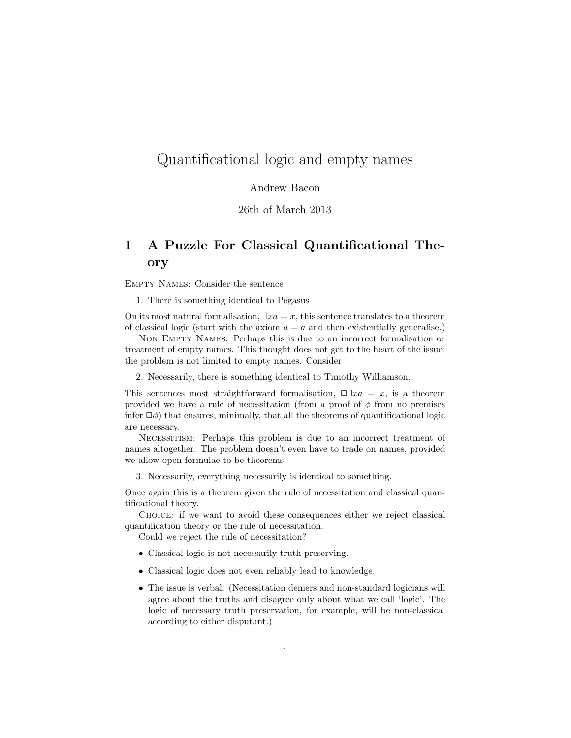# Quantificational logic and empty names

#### Andrew Bacon

#### 26th of March 2013

# 1 A Puzzle For Classical Quantificational Theory

Empty Names: Consider the sentence

1. There is something identical to Pegasus

On its most natural formalisation,  $\exists xa = x$ , this sentence translates to a theorem of classical logic (start with the axiom  $a = a$  and then existentially generalise.)

Non Empty Names: Perhaps this is due to an incorrect formalisation or treatment of empty names. This thought does not get to the heart of the issue: the problem is not limited to empty names. Consider

2. Necessarily, there is something identical to Timothy Williamson.

This sentences most straightforward formalisation,  $\Box \exists xa = x$ , is a theorem provided we have a rule of necessitation (from a proof of  $\phi$  from no premises infer  $\Box \phi$ ) that ensures, minimally, that all the theorems of quantificational logic are necessary.

Necessitism: Perhaps this problem is due to an incorrect treatment of names altogether. The problem doesn't even have to trade on names, provided we allow open formulae to be theorems.

3. Necessarily, everything necessarily is identical to something.

Once again this is a theorem given the rule of necessitation and classical quantificational theory.

Choice: if we want to avoid these consequences either we reject classical quantification theory or the rule of necessitation.

Could we reject the rule of necessitation?

- Classical logic is not necessarily truth preserving.
- Classical logic does not even reliably lead to knowledge.
- The issue is verbal. (Necessitation deniers and non-standard logicians will agree about the truths and disagree only about what we call 'logic'. The logic of necessary truth preservation, for example, will be non-classical according to either disputant.)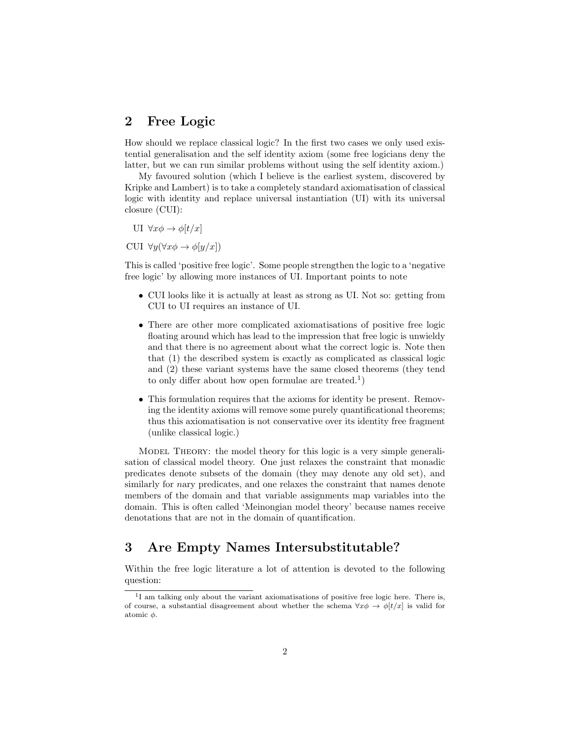#### 2 Free Logic

How should we replace classical logic? In the first two cases we only used existential generalisation and the self identity axiom (some free logicians deny the latter, but we can run similar problems without using the self identity axiom.)

My favoured solution (which I believe is the earliest system, discovered by Kripke and Lambert) is to take a completely standard axiomatisation of classical logic with identity and replace universal instantiation (UI) with its universal closure (CUI):

UI  $\forall x \phi \rightarrow \phi[t/x]$ 

CUI  $\forall y (\forall x \phi \rightarrow \phi[y/x])$ 

This is called 'positive free logic'. Some people strengthen the logic to a 'negative free logic' by allowing more instances of UI. Important points to note

- CUI looks like it is actually at least as strong as UI. Not so: getting from CUI to UI requires an instance of UI.
- There are other more complicated axiomatisations of positive free logic floating around which has lead to the impression that free logic is unwieldy and that there is no agreement about what the correct logic is. Note then that (1) the described system is exactly as complicated as classical logic and (2) these variant systems have the same closed theorems (they tend to only differ about how open formulae are treated.<sup>1</sup>)
- This formulation requires that the axioms for identity be present. Removing the identity axioms will remove some purely quantificational theorems; thus this axiomatisation is not conservative over its identity free fragment (unlike classical logic.)

Model Theory: the model theory for this logic is a very simple generalisation of classical model theory. One just relaxes the constraint that monadic predicates denote subsets of the domain (they may denote any old set), and similarly for nary predicates, and one relaxes the constraint that names denote members of the domain and that variable assignments map variables into the domain. This is often called 'Meinongian model theory' because names receive denotations that are not in the domain of quantification.

## 3 Are Empty Names Intersubstitutable?

Within the free logic literature a lot of attention is devoted to the following question:

<sup>&</sup>lt;sup>1</sup>I am talking only about the variant axiomatisations of positive free logic here. There is, of course, a substantial disagreement about whether the schema  $\forall x \phi \rightarrow \phi[t/x]$  is valid for atomic  $\phi$ .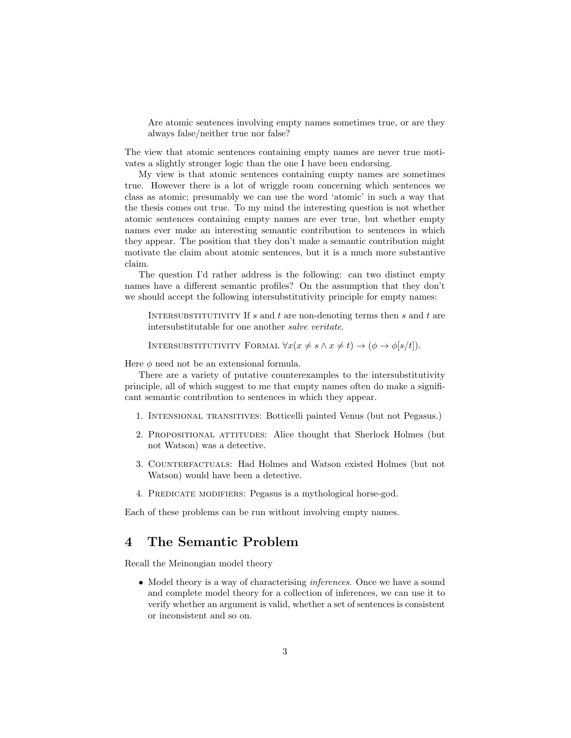Are atomic sentences involving empty names sometimes true, or are they always false/neither true nor false?

The view that atomic sentences containing empty names are never true motivates a slightly stronger logic than the one I have been endorsing.

My view is that atomic sentences containing empty names are sometimes true. However there is a lot of wriggle room concerning which sentences we class as atomic; presumably we can use the word 'atomic' in such a way that the thesis comes out true. To my mind the interesting question is not whether atomic sentences containing empty names are ever true, but whether empty names ever make an interesting semantic contribution to sentences in which they appear. The position that they don't make a semantic contribution might motivate the claim about atomic sentences, but it is a much more substantive claim.

The question I'd rather address is the following: can two distinct empty names have a different semantic profiles? On the assumption that they don't we should accept the following intersubstitutivity principle for empty names:

INTERSUBSTITUTIVITY If s and t are non-denoting terms then s and t are intersubstitutable for one another salve veritate.

INTERSUBSTITUTIVITY FORMAL  $\forall x (x \neq s \land x \neq t) \rightarrow (\phi \rightarrow \phi[s/t])$ .

Here  $\phi$  need not be an extensional formula.

There are a variety of putative counterexamples to the intersubstitutivity principle, all of which suggest to me that empty names often do make a significant semantic contribution to sentences in which they appear.

- 1. Intensional transitives: Botticelli painted Venus (but not Pegasus.)
- 2. Propositional attitudes: Alice thought that Sherlock Holmes (but not Watson) was a detective.
- 3. Counterfactuals: Had Holmes and Watson existed Holmes (but not Watson) would have been a detective.
- 4. PREDICATE MODIFIERS: Pegasus is a mythological horse-god.

Each of these problems can be run without involving empty names.

## 4 The Semantic Problem

Recall the Meinongian model theory

• Model theory is a way of characterising *inferences*. Once we have a sound and complete model theory for a collection of inferences, we can use it to verify whether an argument is valid, whether a set of sentences is consistent or inconsistent and so on.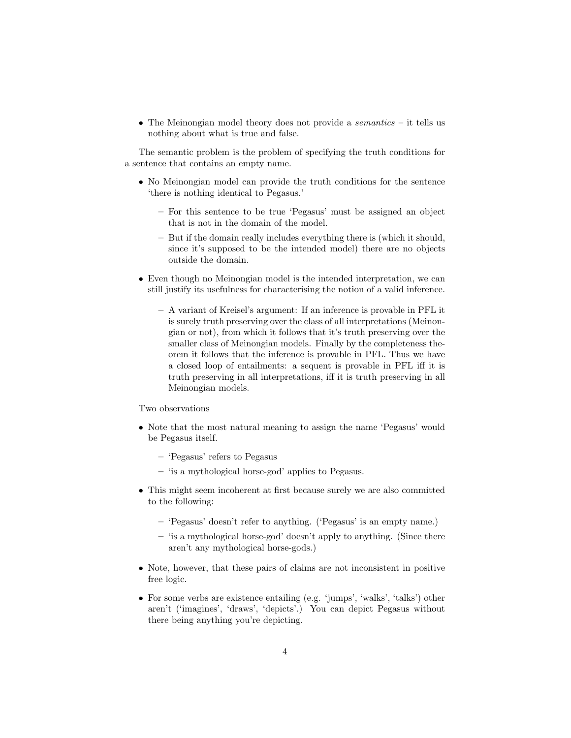• The Meinongian model theory does not provide a *semantics*  $-$  it tells us nothing about what is true and false.

The semantic problem is the problem of specifying the truth conditions for a sentence that contains an empty name.

- No Meinongian model can provide the truth conditions for the sentence 'there is nothing identical to Pegasus.'
	- For this sentence to be true 'Pegasus' must be assigned an object that is not in the domain of the model.
	- But if the domain really includes everything there is (which it should, since it's supposed to be the intended model) there are no objects outside the domain.
- Even though no Meinongian model is the intended interpretation, we can still justify its usefulness for characterising the notion of a valid inference.
	- A variant of Kreisel's argument: If an inference is provable in PFL it is surely truth preserving over the class of all interpretations (Meinongian or not), from which it follows that it's truth preserving over the smaller class of Meinongian models. Finally by the completeness theorem it follows that the inference is provable in PFL. Thus we have a closed loop of entailments: a sequent is provable in PFL iff it is truth preserving in all interpretations, iff it is truth preserving in all Meinongian models.

#### Two observations

- Note that the most natural meaning to assign the name 'Pegasus' would be Pegasus itself.
	- 'Pegasus' refers to Pegasus
	- 'is a mythological horse-god' applies to Pegasus.
- This might seem incoherent at first because surely we are also committed to the following:
	- 'Pegasus' doesn't refer to anything. ('Pegasus' is an empty name.)
	- 'is a mythological horse-god' doesn't apply to anything. (Since there aren't any mythological horse-gods.)
- Note, however, that these pairs of claims are not inconsistent in positive free logic.
- For some verbs are existence entailing (e.g. 'jumps', 'walks', 'talks') other aren't ('imagines', 'draws', 'depicts'.) You can depict Pegasus without there being anything you're depicting.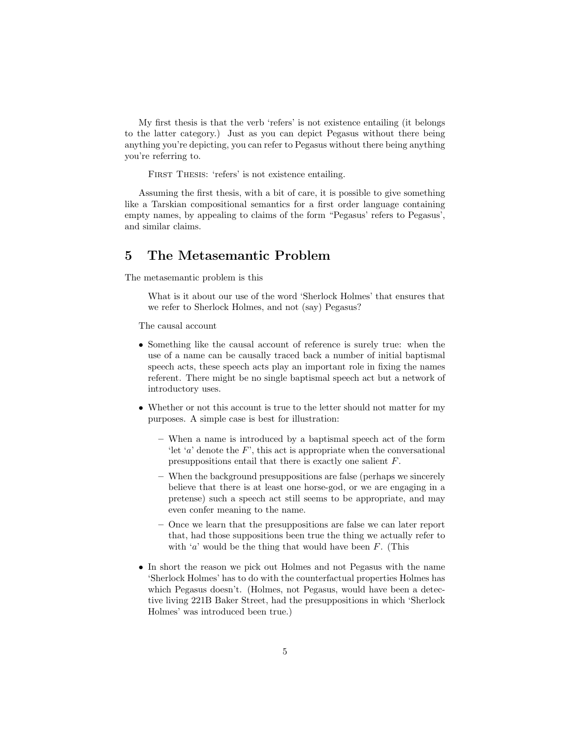My first thesis is that the verb 'refers' is not existence entailing (it belongs to the latter category.) Just as you can depict Pegasus without there being anything you're depicting, you can refer to Pegasus without there being anything you're referring to.

FIRST THESIS: 'refers' is not existence entailing.

Assuming the first thesis, with a bit of care, it is possible to give something like a Tarskian compositional semantics for a first order language containing empty names, by appealing to claims of the form "Pegasus' refers to Pegasus', and similar claims.

#### 5 The Metasemantic Problem

The metasemantic problem is this

What is it about our use of the word 'Sherlock Holmes' that ensures that we refer to Sherlock Holmes, and not (say) Pegasus?

The causal account

- Something like the causal account of reference is surely true: when the use of a name can be causally traced back a number of initial baptismal speech acts, these speech acts play an important role in fixing the names referent. There might be no single baptismal speech act but a network of introductory uses.
- Whether or not this account is true to the letter should not matter for my purposes. A simple case is best for illustration:
	- When a name is introduced by a baptismal speech act of the form 'let 'a' denote the  $F'$ , this act is appropriate when the conversational presuppositions entail that there is exactly one salient F.
	- When the background presuppositions are false (perhaps we sincerely believe that there is at least one horse-god, or we are engaging in a pretense) such a speech act still seems to be appropriate, and may even confer meaning to the name.
	- Once we learn that the presuppositions are false we can later report that, had those suppositions been true the thing we actually refer to with 'a' would be the thing that would have been  $F$ . (This
- In short the reason we pick out Holmes and not Pegasus with the name 'Sherlock Holmes' has to do with the counterfactual properties Holmes has which Pegasus doesn't. (Holmes, not Pegasus, would have been a detective living 221B Baker Street, had the presuppositions in which 'Sherlock Holmes' was introduced been true.)